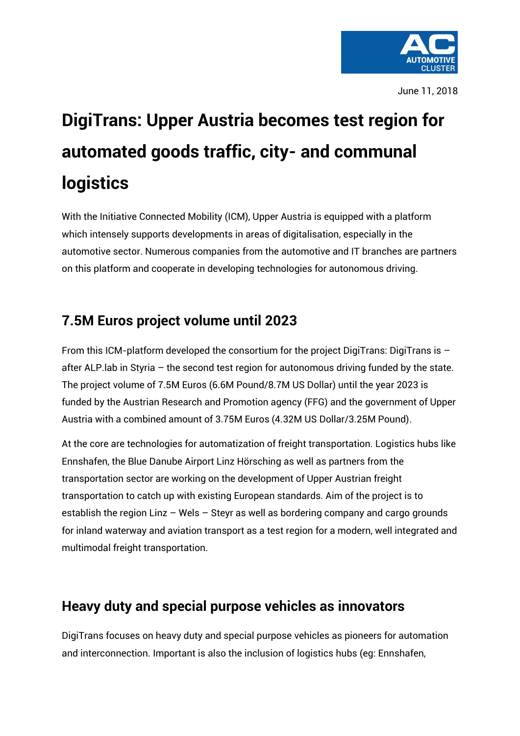

June 11, 2018

# **DigiTrans: Upper Austria becomes test region for automated goods traffic, city- and communal logistics**

With the Initiative Connected Mobility (ICM), Upper Austria is equipped with a platform which intensely supports developments in areas of digitalisation, especially in the automotive sector. Numerous companies from the automotive and IT branches are partners on this platform and cooperate in developing technologies for autonomous driving.

## **7.5M Euros project volume until 2023**

From this ICM-platform developed the consortium for the project DigiTrans: DigiTrans is – after ALP.lab in Styria – the second test region for autonomous driving funded by the state. The project volume of 7.5M Euros (6.6M Pound/8.7M US Dollar) until the year 2023 is funded by the Austrian Research and Promotion agency (FFG) and the government of Upper Austria with a combined amount of 3.75M Euros (4.32M US Dollar/3.25M Pound).

At the core are technologies for automatization of freight transportation. Logistics hubs like Ennshafen, the Blue Danube Airport Linz Hörsching as well as partners from the transportation sector are working on the development of Upper Austrian freight transportation to catch up with existing European standards. Aim of the project is to establish the region Linz – Wels – Steyr as well as bordering company and cargo grounds for inland waterway and aviation transport as a test region for a modern, well integrated and multimodal freight transportation.

### **Heavy duty and special purpose vehicles as innovators**

DigiTrans focuses on heavy duty and special purpose vehicles as pioneers for automation and interconnection. Important is also the inclusion of logistics hubs (eg: Ennshafen,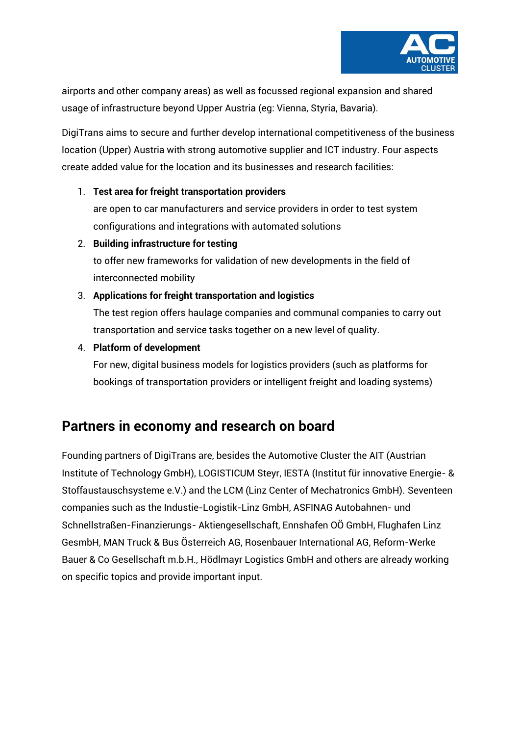

airports and other company areas) as well as focussed regional expansion and shared usage of infrastructure beyond Upper Austria (eg: Vienna, Styria, Bavaria).

DigiTrans aims to secure and further develop international competitiveness of the business location (Upper) Austria with strong automotive supplier and ICT industry. Four aspects create added value for the location and its businesses and research facilities:

#### 1. **Test area for freight transportation providers**

are open to car manufacturers and service providers in order to test system configurations and integrations with automated solutions

2. **Building infrastructure for testing**

to offer new frameworks for validation of new developments in the field of interconnected mobility

#### 3. **Applications for freight transportation and logistics**

The test region offers haulage companies and communal companies to carry out transportation and service tasks together on a new level of quality.

4. **Platform of development**

For new, digital business models for logistics providers (such as platforms for bookings of transportation providers or intelligent freight and loading systems)

### **Partners in economy and research on board**

Founding partners of DigiTrans are, besides the Automotive Cluster the AIT (Austrian Institute of Technology GmbH), LOGISTICUM Steyr, IESTA (Institut für innovative Energie- & Stoffaustauschsysteme e.V.) and the LCM (Linz Center of Mechatronics GmbH). Seventeen companies such as the Industie-Logistik-Linz GmbH, ASFINAG Autobahnen- und Schnellstraßen-Finanzierungs- Aktiengesellschaft, Ennshafen OÖ GmbH, Flughafen Linz GesmbH, MAN Truck & Bus Österreich AG, Rosenbauer International AG, Reform-Werke Bauer & Co Gesellschaft m.b.H., Hödlmayr Logistics GmbH and others are already working on specific topics and provide important input.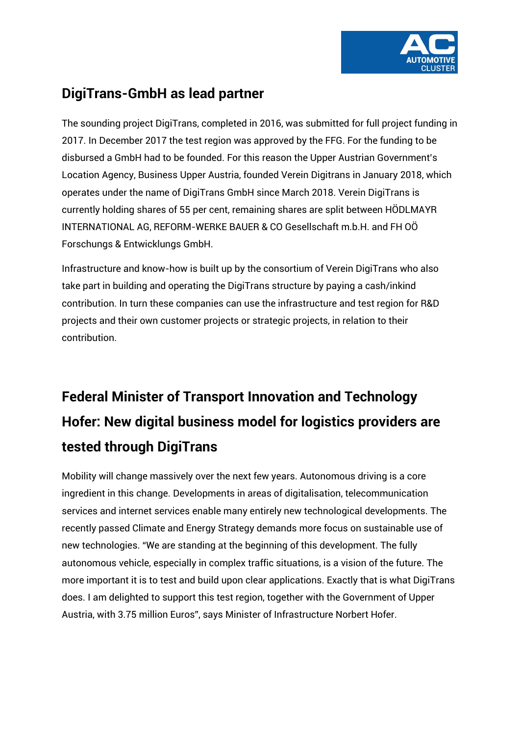

## **DigiTrans-GmbH as lead partner**

The sounding project DigiTrans, completed in 2016, was submitted for full project funding in 2017. In December 2017 the test region was approved by the FFG. For the funding to be disbursed a GmbH had to be founded. For this reason the Upper Austrian Government's Location Agency, Business Upper Austria, founded Verein Digitrans in January 2018, which operates under the name of DigiTrans GmbH since March 2018. Verein DigiTrans is currently holding shares of 55 per cent, remaining shares are split between HÖDLMAYR INTERNATIONAL AG, REFORM-WERKE BAUER & CO Gesellschaft m.b.H. and FH OÖ Forschungs & Entwicklungs GmbH.

Infrastructure and know-how is built up by the consortium of Verein DigiTrans who also take part in building and operating the DigiTrans structure by paying a cash/inkind contribution. In turn these companies can use the infrastructure and test region for R&D projects and their own customer projects or strategic projects, in relation to their contribution.

## **Federal Minister of Transport Innovation and Technology Hofer: New digital business model for logistics providers are tested through DigiTrans**

Mobility will change massively over the next few years. Autonomous driving is a core ingredient in this change. Developments in areas of digitalisation, telecommunication services and internet services enable many entirely new technological developments. The recently passed Climate and Energy Strategy demands more focus on sustainable use of new technologies. "We are standing at the beginning of this development. The fully autonomous vehicle, especially in complex traffic situations, is a vision of the future. The more important it is to test and build upon clear applications. Exactly that is what DigiTrans does. I am delighted to support this test region, together with the Government of Upper Austria, with 3.75 million Euros", says Minister of Infrastructure Norbert Hofer.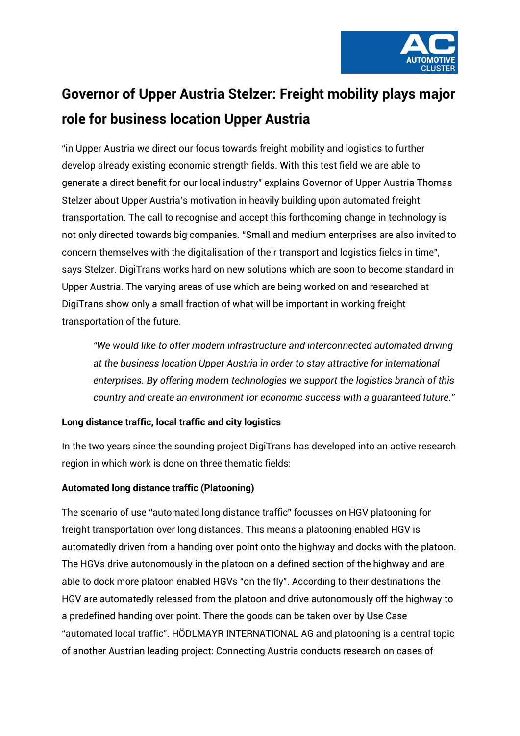

## **Governor of Upper Austria Stelzer: Freight mobility plays major role for business location Upper Austria**

"in Upper Austria we direct our focus towards freight mobility and logistics to further develop already existing economic strength fields. With this test field we are able to generate a direct benefit for our local industry" explains Governor of Upper Austria Thomas Stelzer about Upper Austria's motivation in heavily building upon automated freight transportation. The call to recognise and accept this forthcoming change in technology is not only directed towards big companies. "Small and medium enterprises are also invited to concern themselves with the digitalisation of their transport and logistics fields in time", says Stelzer. DigiTrans works hard on new solutions which are soon to become standard in Upper Austria. The varying areas of use which are being worked on and researched at DigiTrans show only a small fraction of what will be important in working freight transportation of the future.

*"We would like to offer modern infrastructure and interconnected automated driving at the business location Upper Austria in order to stay attractive for international enterprises. By offering modern technologies we support the logistics branch of this country and create an environment for economic success with a guaranteed future."*

#### **Long distance traffic, local traffic and city logistics**

In the two years since the sounding project DigiTrans has developed into an active research region in which work is done on three thematic fields:

#### **Automated long distance traffic (Platooning)**

The scenario of use "automated long distance traffic" focusses on HGV platooning for freight transportation over long distances. This means a platooning enabled HGV is automatedly driven from a handing over point onto the highway and docks with the platoon. The HGVs drive autonomously in the platoon on a defined section of the highway and are able to dock more platoon enabled HGVs "on the fly". According to their destinations the HGV are automatedly released from the platoon and drive autonomously off the highway to a predefined handing over point. There the goods can be taken over by Use Case "automated local traffic". HÖDLMAYR INTERNATIONAL AG and platooning is a central topic of another Austrian leading project: Connecting Austria conducts research on cases of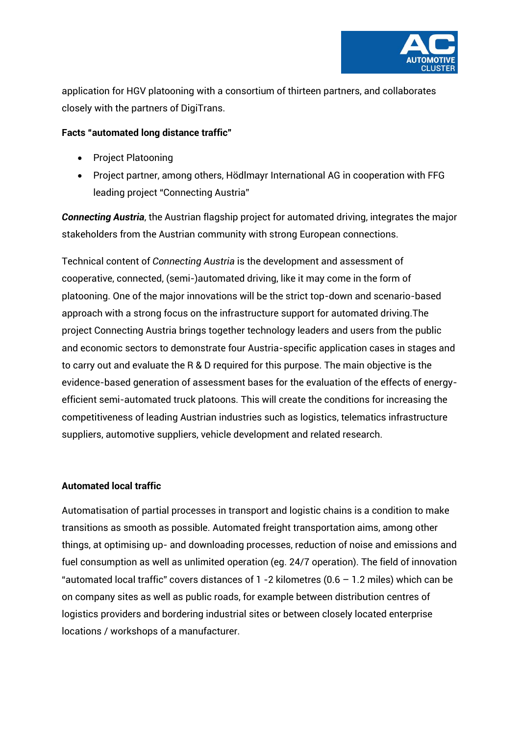

application for HGV platooning with a consortium of thirteen partners, and collaborates closely with the partners of DigiTrans.

#### **Facts "automated long distance traffic"**

- Project Platooning
- Project partner, among others, Hödlmayr International AG in cooperation with FFG leading project "Connecting Austria"

*Connecting Austria*, the Austrian flagship project for automated driving, integrates the major stakeholders from the Austrian community with strong European connections.

Technical content of *Connecting Austria* is the development and assessment of [cooperative, connected, \(semi-\)automated driving,](https://www.andata.at/en/answer/whats-the-difference-between-autonomous-automated-connected-and-cooperative-driving.html) like it may come in the form of platooning. One of the major innovations will be the strict top-down and scenario-based approach with a strong focus on the infrastructure support for automated driving.The project Connecting Austria brings together technology leaders and users from the public and economic sectors to demonstrate [four Austria-specific application cases in](http://www.connecting-austria.at/#/use-cases) stages and to carry out and evaluate the R & D required for this purpose. The main objective is the evidence-based generation of assessment bases for the evaluation of the effects of energyefficient semi-automated truck platoons. This will create the conditions for increasing the competitiveness of leading Austrian industries such as logistics, telematics infrastructure suppliers, automotive suppliers, vehicle development and related research.

#### **Automated local traffic**

Automatisation of partial processes in transport and logistic chains is a condition to make transitions as smooth as possible. Automated freight transportation aims, among other things, at optimising up- and downloading processes, reduction of noise and emissions and fuel consumption as well as unlimited operation (eg. 24/7 operation). The field of innovation "automated local traffic" covers distances of 1 -2 kilometres (0.6  $-$  1.2 miles) which can be on company sites as well as public roads, for example between distribution centres of logistics providers and bordering industrial sites or between closely located enterprise locations / workshops of a manufacturer.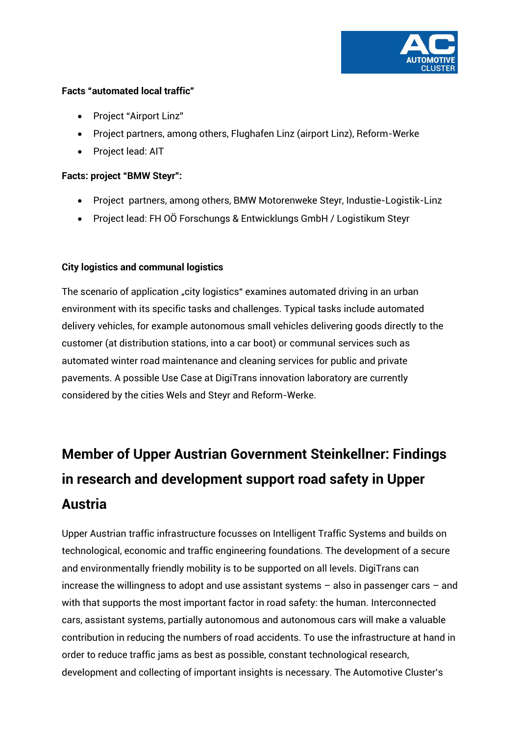

#### **Facts "automated local traffic"**

- Project "Airport Linz"
- Project partners, among others, Flughafen Linz (airport Linz), Reform-Werke
- Project lead: AIT

#### **Facts: project "BMW Steyr":**

- Project partners, among others, BMW Motorenweke Steyr, Industie-Logistik-Linz
- Project lead: FH OÖ Forschungs & Entwicklungs GmbH / Logistikum Steyr

#### **City logistics and communal logistics**

The scenario of application "city logistics" examines automated driving in an urban environment with its specific tasks and challenges. Typical tasks include automated delivery vehicles, for example autonomous small vehicles delivering goods directly to the customer (at distribution stations, into a car boot) or communal services such as automated winter road maintenance and cleaning services for public and private pavements. A possible Use Case at DigiTrans innovation laboratory are currently considered by the cities Wels and Steyr and Reform-Werke.

## **Member of Upper Austrian Government Steinkellner: Findings in research and development support road safety in Upper Austria**

Upper Austrian traffic infrastructure focusses on Intelligent Traffic Systems and builds on technological, economic and traffic engineering foundations. The development of a secure and environmentally friendly mobility is to be supported on all levels. DigiTrans can increase the willingness to adopt and use assistant systems – also in passenger cars – and with that supports the most important factor in road safety: the human. Interconnected cars, assistant systems, partially autonomous and autonomous cars will make a valuable contribution in reducing the numbers of road accidents. To use the infrastructure at hand in order to reduce traffic jams as best as possible, constant technological research, development and collecting of important insights is necessary. The Automotive Cluster's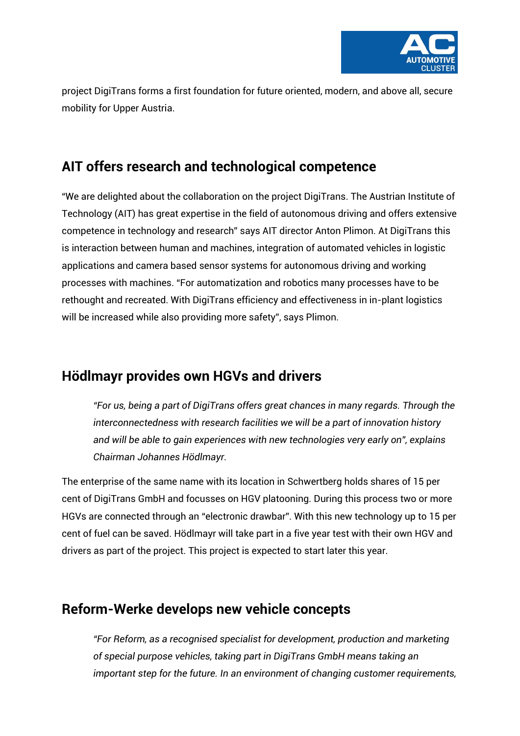

project DigiTrans forms a first foundation for future oriented, modern, and above all, secure mobility for Upper Austria.

## **AIT offers research and technological competence**

"We are delighted about the collaboration on the project DigiTrans. The Austrian Institute of Technology (AIT) has great expertise in the field of autonomous driving and offers extensive competence in technology and research" says AIT director Anton Plimon. At DigiTrans this is interaction between human and machines, integration of automated vehicles in logistic applications and camera based sensor systems for autonomous driving and working processes with machines. "For automatization and robotics many processes have to be rethought and recreated. With DigiTrans efficiency and effectiveness in in-plant logistics will be increased while also providing more safety", says Plimon.

## **Hödlmayr provides own HGVs and drivers**

*"For us, being a part of DigiTrans offers great chances in many regards. Through the interconnectedness with research facilities we will be a part of innovation history and will be able to gain experiences with new technologies very early on", explains Chairman Johannes Hödlmayr.*

The enterprise of the same name with its location in Schwertberg holds shares of 15 per cent of DigiTrans GmbH and focusses on HGV platooning. During this process two or more HGVs are connected through an "electronic drawbar". With this new technology up to 15 per cent of fuel can be saved. Hödlmayr will take part in a five year test with their own HGV and drivers as part of the project. This project is expected to start later this year.

## **Reform-Werke develops new vehicle concepts**

*"For Reform, as a recognised specialist for development, production and marketing of special purpose vehicles, taking part in DigiTrans GmbH means taking an important step for the future. In an environment of changing customer requirements,*